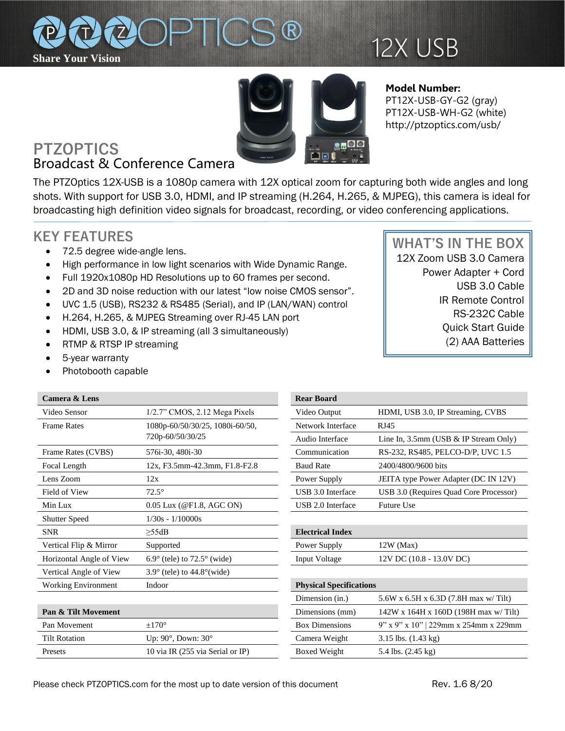

# 12X USB



#### **Model Number:**  PT12X-USB-GY-G2 (gray) PT12X-USB-WH-G2 (white) http://ptzoptics.com/usb/

# **PTZOPTICS** Broadcast & Conference Camera

The PTZOptics 12X-USB is a 1080p camera with 12X optical zoom for capturing both wide angles and long shots. With support for USB 3.0, HDMI, and IP streaming (H.264, H.265, & MJPEG), this camera is ideal for broadcasting high definition video signals for broadcast, recording, or video conferencing applications.

## **KEY FEATURES**

- 72.5 degree wide-angle lens.
- High performance in low light scenarios with Wide Dynamic Range.
- Full 1920x1080p HD Resolutions up to 60 frames per second.
- 2D and 3D noise reduction with our latest "low noise CMOS sensor".
- UVC 1.5 (USB), RS232 & RS485 (Serial), and IP (LAN/WAN) control
- H.264, H.265, & MJPEG Streaming over RJ-45 LAN port
- HDMI, USB 3.0, & IP streaming (all 3 simultaneously)
- RTMP & RTSP IP streaming
- 5-year warranty
- Photobooth capable

Pan Movement  $\pm 170^\circ$ 

Tilt Rotation Up:  $90^\circ$ , Down:  $30^\circ$ 

Presets 10 via IR (255 via Serial or IP)

### **Camera & Lens**

| Video Sensor               | $1/2.7$ " CMOS, $2.12$ Mega Pixels            | Video Output                   | HDMI, USB 3.0, IP Streaming, CVBS        |
|----------------------------|-----------------------------------------------|--------------------------------|------------------------------------------|
| <b>Frame Rates</b>         | 1080p-60/50/30/25, 1080i-60/50,               | Network Interface              | RJ45                                     |
|                            | 720p-60/50/30/25                              | Audio Interface                | Line In, $3.5$ mm (USB & IP Stream Only) |
| Frame Rates (CVBS)         | 576i-30, 480i-30                              | Communication                  | RS-232, RS485, PELCO-D/P, UVC 1.5        |
| Focal Length               | 12x, F3.5mm-42.3mm, F1.8-F2.8                 | <b>Baud Rate</b>               | 2400/4800/9600 bits                      |
| Lens Zoom                  | 12x                                           | Power Supply                   | JEITA type Power Adapter (DC IN 12V)     |
| Field of View              | $72.5^\circ$                                  | USB 3.0 Interface              | USB 3.0 (Requires Quad Core Processor)   |
| Min Lux                    | $0.05$ Lux (@F1.8, AGC ON)                    | USB 2.0 Interface              | <b>Future Use</b>                        |
| <b>Shutter Speed</b>       | $1/30s - 1/10000s$                            |                                |                                          |
| <b>SNR</b>                 | >55dB                                         | <b>Electrical Index</b>        |                                          |
| Vertical Flip & Mirror     | Supported                                     | Power Supply                   | $12W$ (Max)                              |
| Horizontal Angle of View   | $6.9^{\circ}$ (tele) to $72.5^{\circ}$ (wide) | <b>Input Voltage</b>           | 12V DC (10.8 - 13.0V DC)                 |
| Vertical Angle of View     | $3.9^{\circ}$ (tele) to $44.8^{\circ}$ (wide) |                                |                                          |
| <b>Working Environment</b> | Indoor                                        | <b>Physical Specifications</b> |                                          |
|                            |                                               | Dimension (in.)                | 5.6W x 6.5H x 6.3D (7.8H max w/ Tilt)    |
| Pan & Tilt Movement        |                                               | Dimensions (mm)                | 142W x 164H x 160D (198H max w/Tilt)     |

| real doalu                     |                                          |  |  |  |
|--------------------------------|------------------------------------------|--|--|--|
| Video Output                   | HDMI, USB 3.0, IP Streaming, CVBS        |  |  |  |
| Network Interface              | RJ45                                     |  |  |  |
| Audio Interface                | Line In, $3.5$ mm (USB & IP Stream Only) |  |  |  |
| Communication                  | RS-232, RS485, PELCO-D/P, UVC 1.5        |  |  |  |
| <b>Baud Rate</b>               | 2400/4800/9600 bits                      |  |  |  |
| Power Supply                   | JEITA type Power Adapter (DC IN 12V)     |  |  |  |
| USB 3.0 Interface              | USB 3.0 (Requires Quad Core Processor)   |  |  |  |
| USB 2.0 Interface              | <b>Future Use</b>                        |  |  |  |
|                                |                                          |  |  |  |
| <b>Electrical Index</b>        |                                          |  |  |  |
| Power Supply                   | $12W$ (Max)                              |  |  |  |
| Input Voltage                  | 12V DC (10.8 - 13.0V DC)                 |  |  |  |
|                                |                                          |  |  |  |
| <b>Physical Specifications</b> |                                          |  |  |  |
| Dimension (in.)                | 5.6W x 6.5H x 6.3D (7.8H max w/ Tilt)    |  |  |  |
| Dimensions (mm)                | $142W$ x 164H x 160D (198H max w/Tilt)   |  |  |  |
| <b>Box Dimensions</b>          | 9" x 9" x 10"   229mm x 254mm x 229mm    |  |  |  |
| Camera Weight                  | $3.15$ lbs. $(1.43 \text{ kg})$          |  |  |  |
| <b>Boxed Weight</b>            | 5.4 lbs. (2.45 kg)                       |  |  |  |
|                                |                                          |  |  |  |

12X Zoom USB 3.0 Camera Power Adapter + Cord USB 3.0 Cable IR Remote Control RS-232C Cable Quick Start Guide (2) AAA Batteries

 **WHAT'S IN THE BOX**